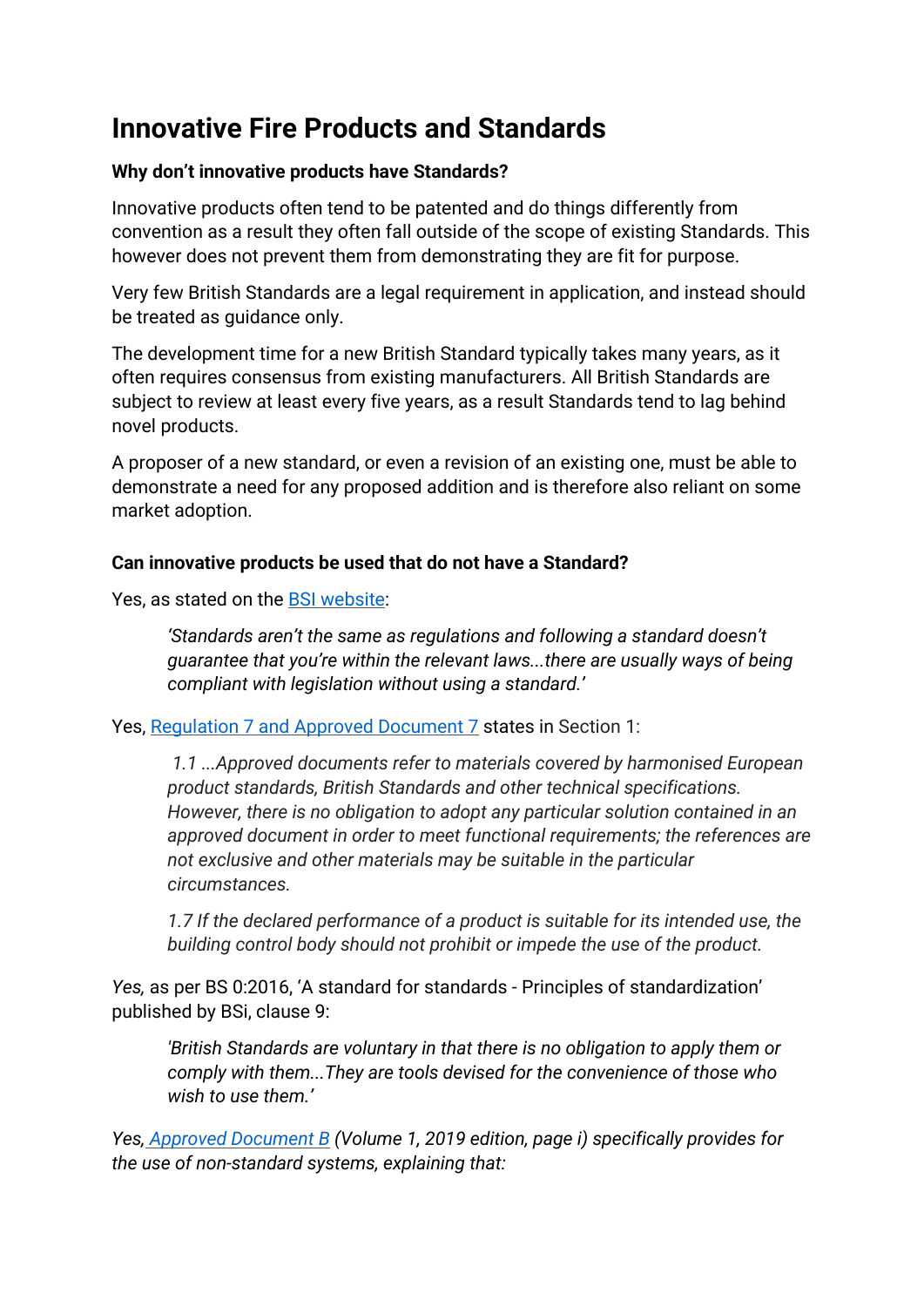# **Innovative Fire Products and Standards**

## **Why don't innovative products have Standards?**

Innovative products often tend to be patented and do things differently from convention as a result they often fall outside of the scope of existing Standards. This however does not prevent them from demonstrating they are fit for purpose.

Very few British Standards are a legal requirement in application, and instead should be treated as guidance only.

The development time for a new British Standard typically takes many years, as it often requires consensus from existing manufacturers. All British Standards are subject to review at least every five years, as a result Standards tend to lag behind novel products.

A proposer of a new standard, or even a revision of an existing one, must be able to demonstrate a need for any proposed addition and is therefore also reliant on some market adoption.

## **Can innovative products be used that do not have a Standard?**

Yes, as stated on the **BSI** website:

*'Standards aren't the same as regulations and following a standard doesn't guarantee that you're within the relevant laws...there are usually ways of being compliant with legislation without using a standard.'*

Yes, [Regulation 7 and Approved Document 7](https://assets.publishing.service.gov.uk/government/uploads/system/uploads/attachment_data/file/806919/AD_Regulation_7.pdf) states in Section 1:

*1.1 ...Approved documents refer to materials covered by harmonised European product standards, British Standards and other technical specifications. However, there is no obligation to adopt any particular solution contained in an approved document in order to meet functional requirements; the references are not exclusive and other materials may be suitable in the particular circumstances.*

*1.7 If the declared performance of a product is suitable for its intended use, the building control body should not prohibit or impede the use of the product.*

*Yes,* as per BS 0:2016, 'A standard for standards - [Principles of standardization'](https://www.dropbox.com/s/fmulvb7gvczachp/BSI-BS-0-2016.pdf?dl=0) published by BSi, clause 9:

*'British Standards are voluntary in that there is no obligation to apply them or comply with them...They are tools devised for the convenience of those who wish to use them.'*

*Yes, [Approved Document B](https://www.dropbox.com/s/jget4ubiuovlapi/Approved_Document_B__fire_safety__volume_1_-_2019_edition.pdf?dl=0) (Volume 1, 2019 edition, page i) specifically provides for the use of non-standard systems, explaining that:*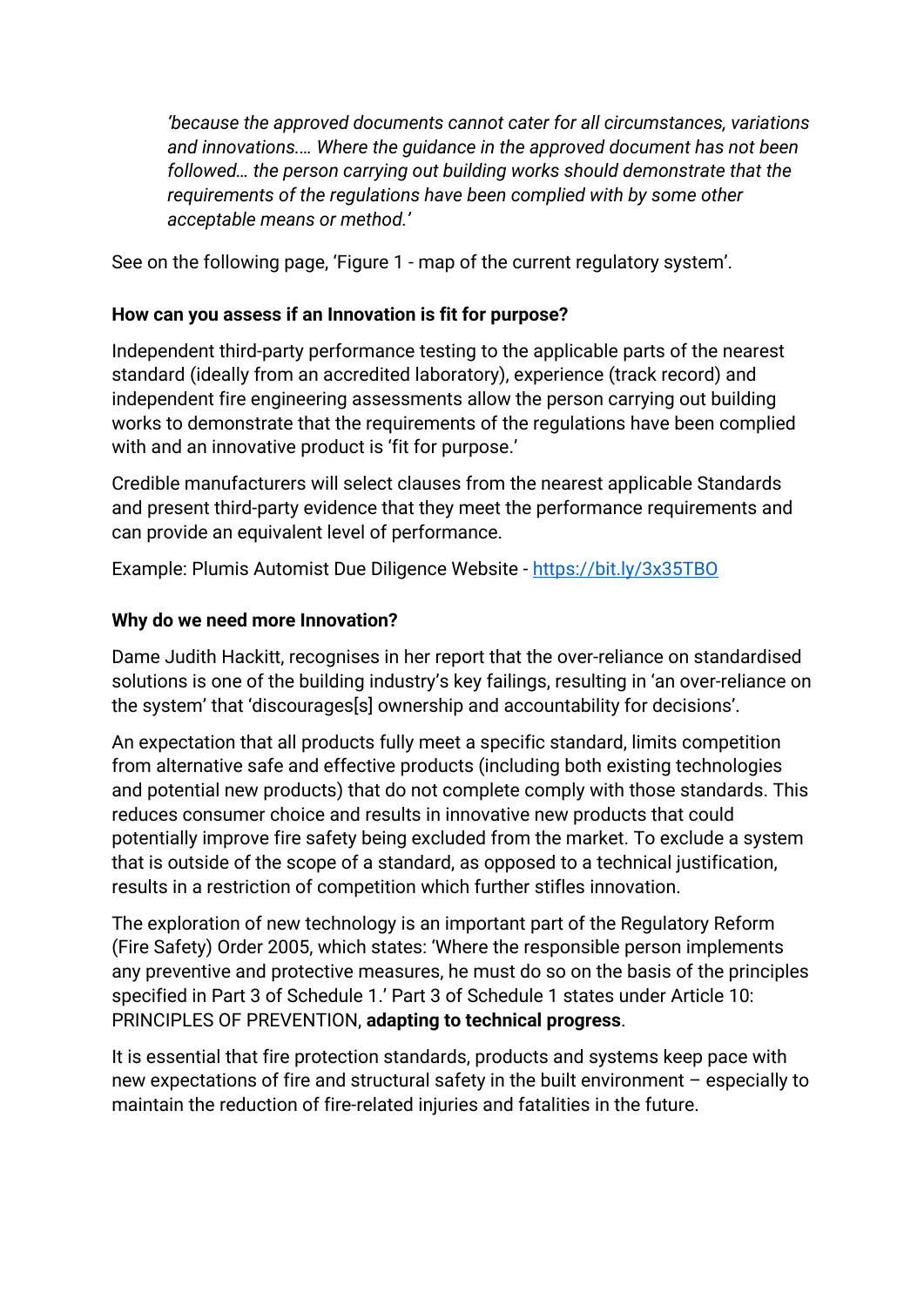*'because the approved documents cannot cater for all circumstances, variations and innovations.… Where the guidance in the approved document has not been followed… the person carrying out building works should demonstrate that the requirements of the regulations have been complied with by some other acceptable means or method.'*

See on the following page, 'Figure 1 - map of the current regulatory system'.

## **How can you assess if an Innovation is fit for purpose?**

Independent third-party performance testing to the applicable parts of the nearest standard (ideally from an accredited laboratory), experience (track record) and independent fire engineering assessments allow the person carrying out building works to demonstrate that the requirements of the regulations have been complied with and an innovative product is 'fit for purpose.'

Credible manufacturers will select clauses from the nearest applicable Standards and present third-party evidence that they meet the performance requirements and can provide an equivalent level of performance.

Example: Plumis Automist Due Diligence Website - <https://bit.ly/3x35TBO>

## **Why do we need more Innovation?**

Dame Judith Hackitt, recognises in her report that the over-reliance on standardised solutions is one of the building industry's key failings, resulting in 'an over-reliance on the system' that 'discourages[s] ownership and accountability for decisions'.

An expectation that all products fully meet a specific standard, limits competition from alternative safe and effective products (including both existing technologies and potential new products) that do not complete comply with those standards. This reduces consumer choice and results in innovative new products that could potentially improve fire safety being excluded from the market. To exclude a system that is outside of the scope of a standard, as opposed to a technical justification, results in a restriction of competition which further stifles innovation.

The exploration of new technology is an important part of the Regulatory Reform (Fire Safety) Order 2005, which states: 'Where the responsible person implements any preventive and protective measures, he must do so on the basis of the principles specified in Part 3 of Schedule 1.' Part 3 of Schedule 1 states under Article 10: PRINCIPLES OF PREVENTION, **adapting to technical progress**.

It is essential that fire protection standards, products and systems keep pace with new expectations of fire and structural safety in the built environment – especially to maintain the reduction of fire-related injuries and fatalities in the future.